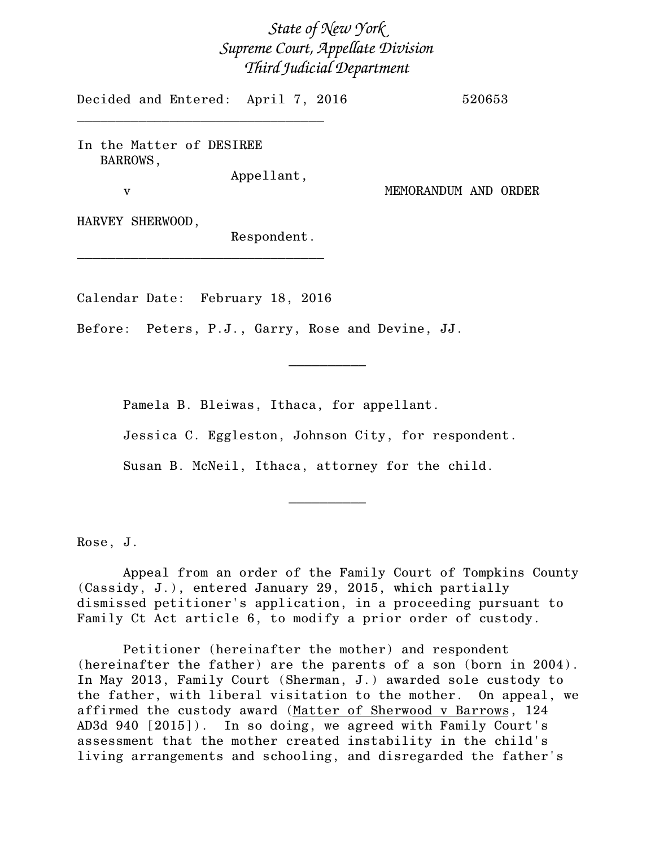## *State of New York Supreme Court, Appellate Division Third Judicial Department*

Decided and Entered: April 7, 2016 520653

In the Matter of DESIREE BARROWS,

\_\_\_\_\_\_\_\_\_\_\_\_\_\_\_\_\_\_\_\_\_\_\_\_\_\_\_\_\_\_\_\_

Appellant,

v MEMORANDUM AND ORDER

HARVEY SHERWOOD,

Respondent.

Calendar Date: February 18, 2016

\_\_\_\_\_\_\_\_\_\_\_\_\_\_\_\_\_\_\_\_\_\_\_\_\_\_\_\_\_\_\_\_

Before: Peters, P.J., Garry, Rose and Devine, JJ.

Pamela B. Bleiwas, Ithaca, for appellant.

Jessica C. Eggleston, Johnson City, for respondent.

 $\frac{1}{2}$ 

Susan B. McNeil, Ithaca, attorney for the child.

Rose, J.

Appeal from an order of the Family Court of Tompkins County (Cassidy, J.), entered January 29, 2015, which partially dismissed petitioner's application, in a proceeding pursuant to Family Ct Act article 6, to modify a prior order of custody.

 $\overline{\phantom{a}}$   $\overline{\phantom{a}}$   $\overline{\phantom{a}}$   $\overline{\phantom{a}}$   $\overline{\phantom{a}}$   $\overline{\phantom{a}}$   $\overline{\phantom{a}}$   $\overline{\phantom{a}}$   $\overline{\phantom{a}}$   $\overline{\phantom{a}}$   $\overline{\phantom{a}}$   $\overline{\phantom{a}}$   $\overline{\phantom{a}}$   $\overline{\phantom{a}}$   $\overline{\phantom{a}}$   $\overline{\phantom{a}}$   $\overline{\phantom{a}}$   $\overline{\phantom{a}}$   $\overline{\$ 

Petitioner (hereinafter the mother) and respondent (hereinafter the father) are the parents of a son (born in 2004). In May 2013, Family Court (Sherman, J.) awarded sole custody to the father, with liberal visitation to the mother. On appeal, we affirmed the custody award (Matter of Sherwood v Barrows, 124 AD3d 940 [2015]). In so doing, we agreed with Family Court's assessment that the mother created instability in the child's living arrangements and schooling, and disregarded the father's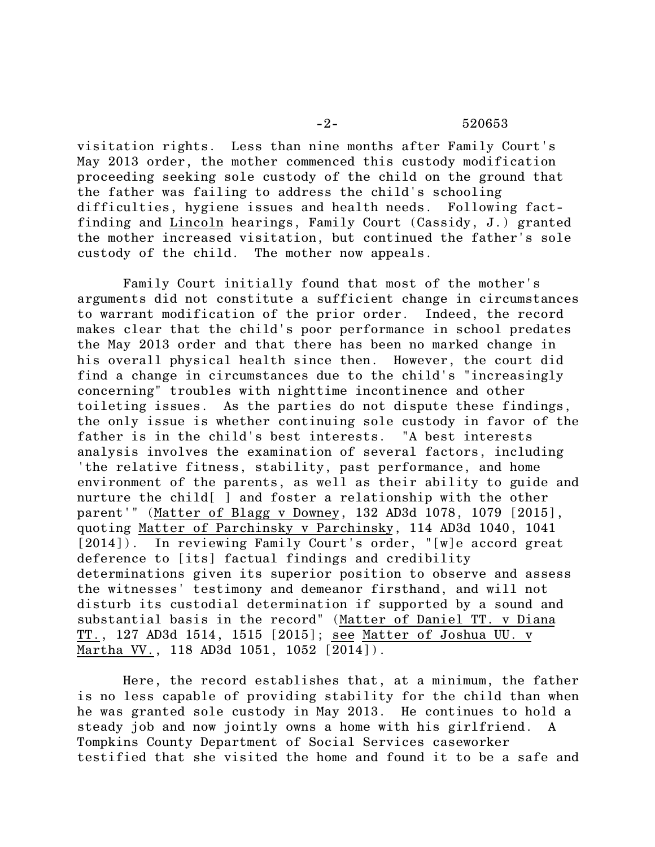visitation rights. Less than nine months after Family Court's May 2013 order, the mother commenced this custody modification proceeding seeking sole custody of the child on the ground that the father was failing to address the child's schooling difficulties, hygiene issues and health needs. Following factfinding and Lincoln hearings, Family Court (Cassidy, J.) granted the mother increased visitation, but continued the father's sole custody of the child. The mother now appeals.

Family Court initially found that most of the mother's arguments did not constitute a sufficient change in circumstances to warrant modification of the prior order. Indeed, the record makes clear that the child's poor performance in school predates the May 2013 order and that there has been no marked change in his overall physical health since then. However, the court did find a change in circumstances due to the child's "increasingly concerning" troubles with nighttime incontinence and other toileting issues. As the parties do not dispute these findings, the only issue is whether continuing sole custody in favor of the father is in the child's best interests. "A best interests analysis involves the examination of several factors, including 'the relative fitness, stability, past performance, and home environment of the parents, as well as their ability to guide and nurture the child[ ] and foster a relationship with the other parent'" (Matter of Blagg v Downey, 132 AD3d 1078, 1079 [2015], quoting Matter of Parchinsky v Parchinsky, 114 AD3d 1040, 1041 [2014]). In reviewing Family Court's order, "[w]e accord great deference to [its] factual findings and credibility determinations given its superior position to observe and assess the witnesses' testimony and demeanor firsthand, and will not disturb its custodial determination if supported by a sound and substantial basis in the record" (Matter of Daniel TT. v Diana TT., 127 AD3d 1514, 1515 [2015]; see Matter of Joshua UU. v Martha VV., 118 AD3d 1051, 1052 [2014]).

Here, the record establishes that, at a minimum, the father is no less capable of providing stability for the child than when he was granted sole custody in May 2013. He continues to hold a steady job and now jointly owns a home with his girlfriend. A Tompkins County Department of Social Services caseworker testified that she visited the home and found it to be a safe and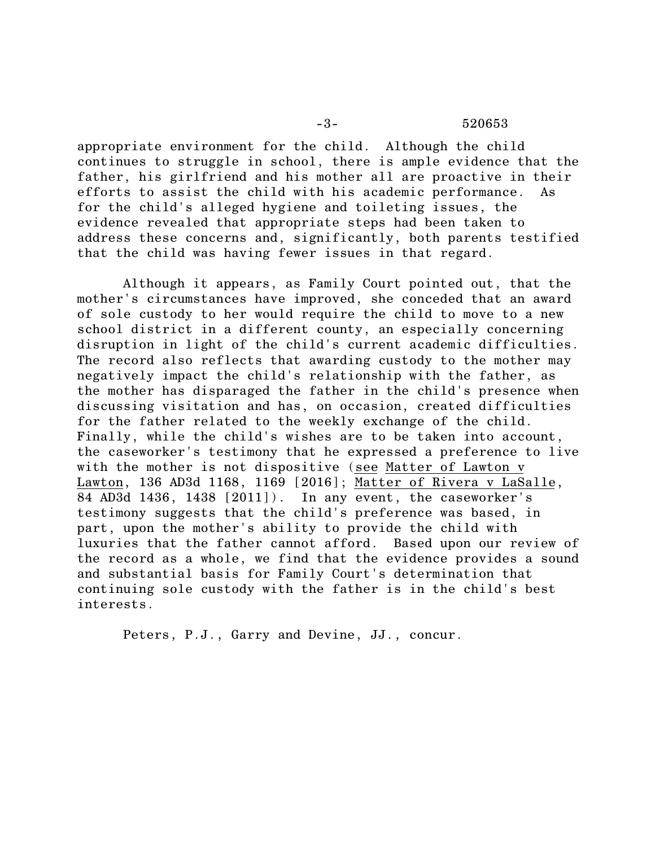appropriate environment for the child. Although the child continues to struggle in school, there is ample evidence that the father, his girlfriend and his mother all are proactive in their efforts to assist the child with his academic performance. As for the child's alleged hygiene and toileting issues, the evidence revealed that appropriate steps had been taken to address these concerns and, significantly, both parents testified that the child was having fewer issues in that regard.

Although it appears, as Family Court pointed out, that the mother's circumstances have improved, she conceded that an award of sole custody to her would require the child to move to a new school district in a different county, an especially concerning disruption in light of the child's current academic difficulties. The record also reflects that awarding custody to the mother may negatively impact the child's relationship with the father, as the mother has disparaged the father in the child's presence when discussing visitation and has, on occasion, created difficulties for the father related to the weekly exchange of the child. Finally, while the child's wishes are to be taken into account, the caseworker's testimony that he expressed a preference to live with the mother is not dispositive (see Matter of Lawton v Lawton, 136 AD3d 1168, 1169 [2016]; Matter of Rivera v LaSalle, 84 AD3d 1436, 1438 [2011]). In any event, the caseworker's testimony suggests that the child's preference was based, in part, upon the mother's ability to provide the child with luxuries that the father cannot afford. Based upon our review of the record as a whole, we find that the evidence provides a sound and substantial basis for Family Court's determination that continuing sole custody with the father is in the child's best interests.

Peters, P.J., Garry and Devine, JJ., concur.